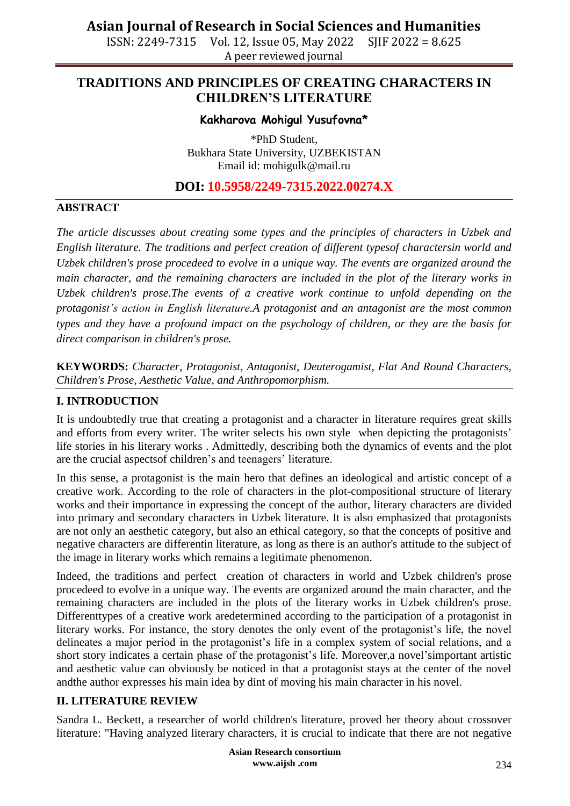ISSN: 2249-7315 Vol. 12, Issue 05, May 2022 SJIF 2022 = 8.625 A peer reviewed journal

### **TRADITIONS AND PRINCIPLES OF CREATING CHARACTERS IN CHILDREN'S LITERATURE**

#### **Kakharova Mohigul Yusufovna\***

\*PhD Student, Bukhara State University, UZBEKISTAN Email id: mohigulk@mail.ru

**DOI: 10.5958/2249-7315.2022.00274.X**

### **ABSTRACT**

*The article discusses about creating some types and the principles of characters in Uzbek and English literature. The traditions and perfect creation of different typesof charactersin world and Uzbek children's prose procedeed to evolve in a unique way. The events are organized around the main character, and the remaining characters are included in the plot of the literary works in Uzbek children's prose.The events of a creative work continue to unfold depending on the protagonist's action in English literature.A protagonist and an antagonist are the most common types and they have a profound impact on the psychology of children, or they are the basis for direct comparison in children's prose.*

**KEYWORDS:** *Character, Protagonist, Antagonist, Deuterogamist, Flat And Round Characters, Children's Prose, Aesthetic Value, and Anthropomorphism.*

#### **I. INTRODUCTION**

It is undoubtedly true that creating a protagonist and a character in literature requires great skills and efforts from every writer. The writer selects his own style when depicting the protagonists' life stories in his literary works . Admittedly, describing both the dynamics of events and the plot are the crucial aspectsof children's and teenagers' literature.

In this sense, a protagonist is the main hero that defines an ideological and artistic concept of a creative work. According to the role of characters in the plot-compositional structure of literary works and their importance in expressing the concept of the author, literary characters are divided into primary and secondary characters in Uzbek literature. It is also emphasized that protagonists are not only an aesthetic category, but also an ethical category, so that the concepts of positive and negative characters are differentin literature, as long as there is an author's attitude to the subject of the image in literary works which remains a legitimate phenomenon.

Indeed, the traditions and perfect creation of characters in world and Uzbek children's prose procedeed to evolve in a unique way. The events are organized around the main character, and the remaining characters are included in the plots of the literary works in Uzbek children's prose. Differenttypes of a creative work aredetermined according to the participation of a protagonist in literary works. For instance, the story denotes the only event of the protagonist's life, the novel delineates a major period in the protagonist's life in a complex system of social relations, and a short story indicates a certain phase of the protagonist's life. Moreover,a novel'simportant artistic and aesthetic value can obviously be noticed in that a protagonist stays at the center of the novel andthe author expresses his main idea by dint of moving his main character in his novel.

#### **II. LITERATURE REVIEW**

Sandra L. Beckett, a researcher of world children's literature, proved her theory about crossover literature: "Having analyzed literary characters, it is crucial to indicate that there are not negative

> **Asian Research consortium www.aijsh .com**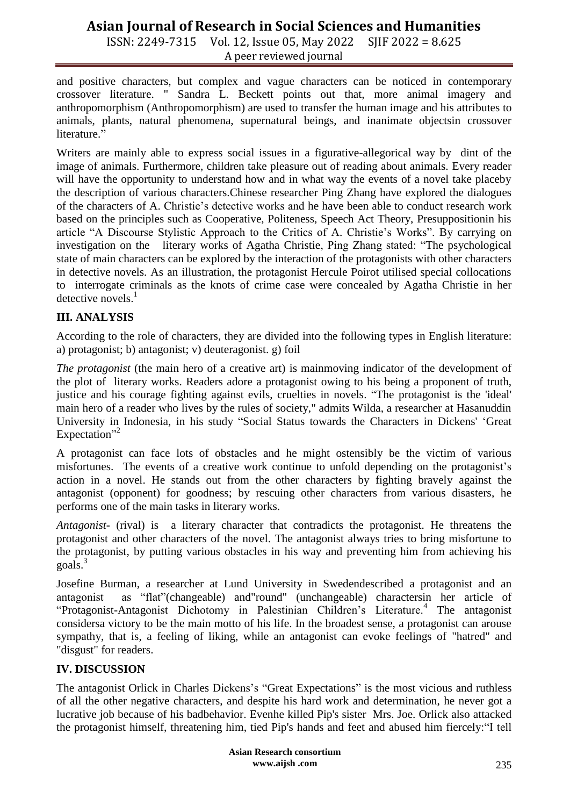ISSN: 2249-7315 Vol. 12, Issue 05, May 2022 SJIF 2022 = 8.625 A peer reviewed journal

and positive characters, but complex and vague characters can be noticed in contemporary crossover literature. " Sandra L. Beckett points out that, more animal imagery and anthropomorphism (Anthropomorphism) are used to transfer the human image and his attributes to animals, plants, natural phenomena, supernatural beings, and inanimate objectsin crossover literature."

Writers are mainly able to express social issues in a figurative-allegorical way by dint of the image of animals. Furthermore, children take pleasure out of reading about animals. Every reader will have the opportunity to understand how and in what way the events of a novel take placeby the description of various characters.Chinese researcher Ping Zhang have explored the dialogues of the characters of A. Christie's detective works and he have been able to conduct research work based on the principles such as Cooperative, Politeness, Speech Act Theory, Presuppositionin his article "A Discourse Stylistic Approach to the Critics of A. Christie's Works". By carrying on investigation on the literary works of Agatha Christie, Ping Zhang stated: "The psychological state of main characters can be explored by the interaction of the protagonists with other characters in detective novels. As an illustration, the protagonist Hercule Poirot utilised special collocations to interrogate criminals as the knots of crime case were concealed by Agatha Christie in her detective novels.<sup>1</sup>

#### **III. ANALYSIS**

According to the role of characters, they are divided into the following types in English literature: a) protagonist; b) antagonist; v) deuteragonist. g) foil

*The protagonist* (the main hero of a creative art) is mainmoving indicator of the development of the plot of literary works. Readers adore a protagonist owing to his being a proponent of truth, justice and his courage fighting against evils, cruelties in novels. "The protagonist is the 'ideal' main hero of a reader who lives by the rules of society," admits Wilda, a researcher at Hasanuddin University in Indonesia, in his study "Social Status towards the Characters in Dickens' 'Great Expectation"<sup>2</sup>

A protagonist can face lots of obstacles and he might ostensibly be the victim of various misfortunes. The events of a creative work continue to unfold depending on the protagonist's action in a novel. He stands out from the other characters by fighting bravely against the antagonist (opponent) for goodness; by rescuing other characters from various disasters, he performs one of the main tasks in literary works.

*Antagonist*- (rival) is a literary character that contradicts the protagonist. He threatens the protagonist and other characters of the novel. The antagonist always tries to bring misfortune to the protagonist, by putting various obstacles in his way and preventing him from achieving his goals. 3

Josefine Burman, a researcher at Lund University in Swedendescribed a protagonist and an antagonist as "flat"(changeable) and "round" (unchangeable) charactersin her article of "Protagonist-Antagonist Dichotomy in Palestinian Children's Literature.<sup>4</sup> The antagonist considersa victory to be the main motto of his life. In the broadest sense, a protagonist can arouse sympathy, that is, a feeling of liking, while an antagonist can evoke feelings of "hatred" and "disgust" for readers.

#### **IV. DISCUSSION**

The antagonist Orlick in Charles Dickens's "Great Expectations" is the most vicious and ruthless of all the other negative characters, and despite his hard work and determination, he never got a lucrative job because of his badbehavior. Evenhe killed Pip's sister Mrs. Joe. Orlick also attacked the protagonist himself, threatening him, tied Pip's hands and feet and abused him fiercely: "I tell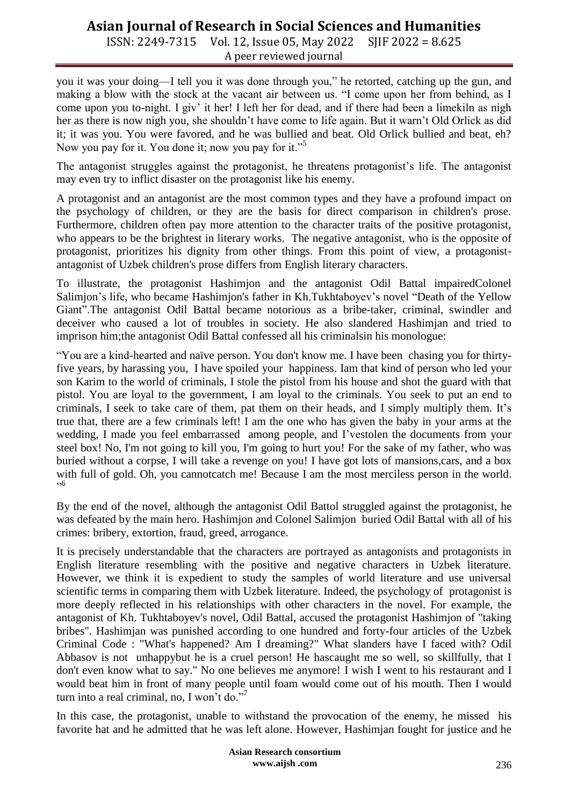ISSN: 2249-7315 Vol. 12, Issue 05, May 2022 SJIF 2022 = 8.625 A peer reviewed journal

you it was your doing—I tell you it was done through you," he retorted, catching up the gun, and making a blow with the stock at the vacant air between us. "I come upon her from behind, as I come upon you to-night. I giv' it her! I left her for dead, and if there had been a limekiln as nigh her as there is now nigh you, she shouldn't have come to life again. But it warn't Old Orlick as did it; it was you. You were favored, and he was bullied and beat. Old Orlick bullied and beat, eh? Now you pay for it. You done it; now you pay for it."<sup>5</sup>

The antagonist struggles against the protagonist, he threatens protagonist's life. The antagonist may even try to inflict disaster on the protagonist like his enemy.

A protagonist and an antagonist are the most common types and they have a profound impact on the psychology of children, or they are the basis for direct comparison in children's prose. Furthermore, children often pay more attention to the character traits of the positive protagonist, who appears to be the brightest in literary works. The negative antagonist, who is the opposite of protagonist, prioritizes his dignity from other things. From this point of view, a protagonistantagonist of Uzbek children's prose differs from English literary characters.

To illustrate, the protagonist Hashimjon and the antagonist Odil Battal impairedColonel Salimjon's life, who became Hashimjon's father in Kh.Tukhtaboyev's novel "Death of the Yellow Giant".The antagonist Odil Battal became notorious as a bribe-taker, criminal, swindler and deceiver who caused a lot of troubles in society. He also slandered Hashimjan and tried to imprison him;the antagonist Odil Battal confessed all his criminalsin his monologue:

"You are a kind-hearted and naïve person. You don't know me. I have been chasing you for thirtyfive years, by harassing you, I have spoiled your happiness. Iam that kind of person who led your son Karim to the world of criminals, I stole the pistol from his house and shot the guard with that pistol. You are loyal to the government, I am loyal to the criminals. You seek to put an end to criminals, I seek to take care of them, pat them on their heads, and I simply multiply them. It's true that, there are a few criminals left! I am the one who has given the baby in your arms at the wedding, I made you feel embarrassed among people, and I'vestolen the documents from your steel box! No, I'm not going to kill you, I'm going to hurt you! For the sake of my father, who was buried without a corpse, I will take a revenge on you! I have got lots of mansions,cars, and a box with full of gold. Oh, you cannotcatch me! Because I am the most merciless person in the world. ‖ 6

By the end of the novel, although the antagonist Odil Battol struggled against the protagonist, he was defeated by the main hero. Hashimjon and Colonel Salimjon buried Odil Battal with all of his crimes: bribery, extortion, fraud, greed, arrogance.

It is precisely understandable that the characters are portrayed as antagonists and protagonists in English literature resembling with the positive and negative characters in Uzbek literature. However, we think it is expedient to study the samples of world literature and use universal scientific terms in comparing them with Uzbek literature. Indeed, the psychology of protagonist is more deeply reflected in his relationships with other characters in the novel. For example, the antagonist of Kh. Tukhtaboyev's novel, Odil Battal, accused the protagonist Hashimjon of "taking bribes". Hashimjan was punished according to one hundred and forty-four articles of the Uzbek Criminal Code : "What's happened? Am I dreaming?" What slanders have I faced with? Odil Abbasov is not unhappybut he is a cruel person! He hascaught me so well, so skillfully, that I don't even know what to say." No one believes me anymore! I wish I went to his restaurant and I would beat him in front of many people until foam would come out of his mouth. Then I would turn into a real criminal, no, I won't do."<sup>7</sup>

In this case, the protagonist, unable to withstand the provocation of the enemy, he missed his favorite hat and he admitted that he was left alone. However, Hashimjan fought for justice and he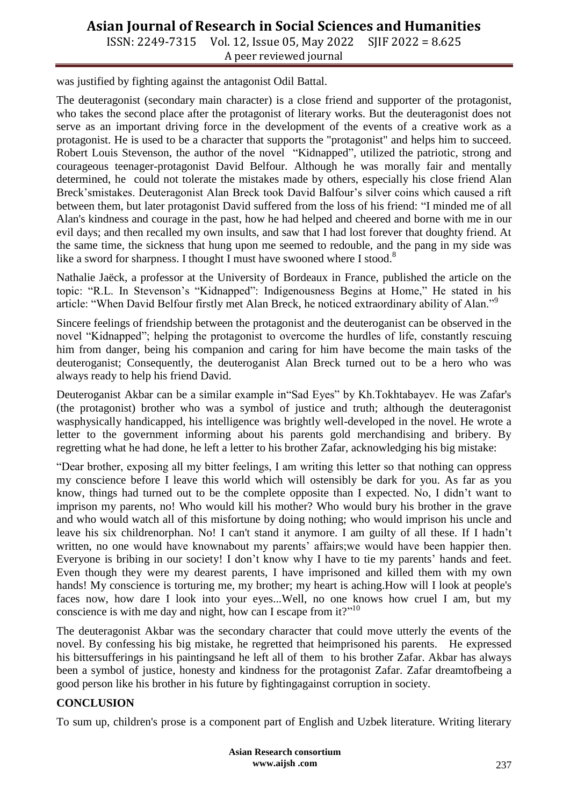ISSN: 2249-7315 Vol. 12, Issue 05, May 2022 SJIF 2022 = 8.625 A peer reviewed journal

was justified by fighting against the antagonist Odil Battal.

The deuteragonist (secondary main character) is a close friend and supporter of the protagonist, who takes the second place after the protagonist of literary works. But the deuteragonist does not serve as an important driving force in the development of the events of a creative work as a protagonist. He is used to be a character that supports the "protagonist" and helps him to succeed. Robert Louis Stevenson, the author of the novel "Kidnapped", utilized the patriotic, strong and courageous teenager-protagonist David Belfour. Although he was morally fair and mentally determined, he could not tolerate the mistakes made by others, especially his close friend Alan Breck'smistakes. Deuteragonist Alan Breck took David Balfour's silver coins which caused a rift between them, but later protagonist David suffered from the loss of his friend: "I minded me of all Alan's kindness and courage in the past, how he had helped and cheered and borne with me in our evil days; and then recalled my own insults, and saw that I had lost forever that doughty friend. At the same time, the sickness that hung upon me seemed to redouble, and the pang in my side was like a sword for sharpness. I thought I must have swooned where I stood.<sup>8</sup>

Nathalie Jaëck, a professor at the University of Bordeaux in France, published the article on the topic: "R.L. In Stevenson's "Kidnapped": Indigenousness Begins at Home," He stated in his article: "When David Belfour firstly met Alan Breck, he noticed extraordinary ability of Alan."

Sincere feelings of friendship between the protagonist and the deuteroganist can be observed in the novel "Kidnapped"; helping the protagonist to overcome the hurdles of life, constantly rescuing him from danger, being his companion and caring for him have become the main tasks of the deuteroganist; Consequently, the deuteroganist Alan Breck turned out to be a hero who was always ready to help his friend David.

Deuteroganist Akbar can be a similar example in "Sad Eyes" by Kh.Tokhtabayev. He was Zafar's (the protagonist) brother who was a symbol of justice and truth; although the deuteragonist wasphysically handicapped, his intelligence was brightly well-developed in the novel. He wrote a letter to the government informing about his parents gold merchandising and bribery. By regretting what he had done, he left a letter to his brother Zafar, acknowledging his big mistake:

―Dear brother, exposing all my bitter feelings, I am writing this letter so that nothing can oppress my conscience before I leave this world which will ostensibly be dark for you. As far as you know, things had turned out to be the complete opposite than I expected. No, I didn't want to imprison my parents, no! Who would kill his mother? Who would bury his brother in the grave and who would watch all of this misfortune by doing nothing; who would imprison his uncle and leave his six childrenorphan. No! I can't stand it anymore. I am guilty of all these. If I hadn't written, no one would have knownabout my parents' affairs;we would have been happier then. Everyone is bribing in our society! I don't know why I have to tie my parents' hands and feet. Even though they were my dearest parents, I have imprisoned and killed them with my own hands! My conscience is torturing me, my brother; my heart is aching.How will I look at people's faces now, how dare I look into your eyes...Well, no one knows how cruel I am, but my conscience is with me day and night, how can I escape from it?"<sup>10</sup>

The deuteragonist Akbar was the secondary character that could move utterly the events of the novel. By confessing his big mistake, he regretted that heimprisoned his parents. He expressed his bittersufferings in his paintingsand he left all of them to his brother Zafar. Akbar has always been a symbol of justice, honesty and kindness for the protagonist Zafar. Zafar dreamtofbeing a good person like his brother in his future by fightingagainst corruption in society.

#### **CONCLUSION**

To sum up, children's prose is a component part of English and Uzbek literature. Writing literary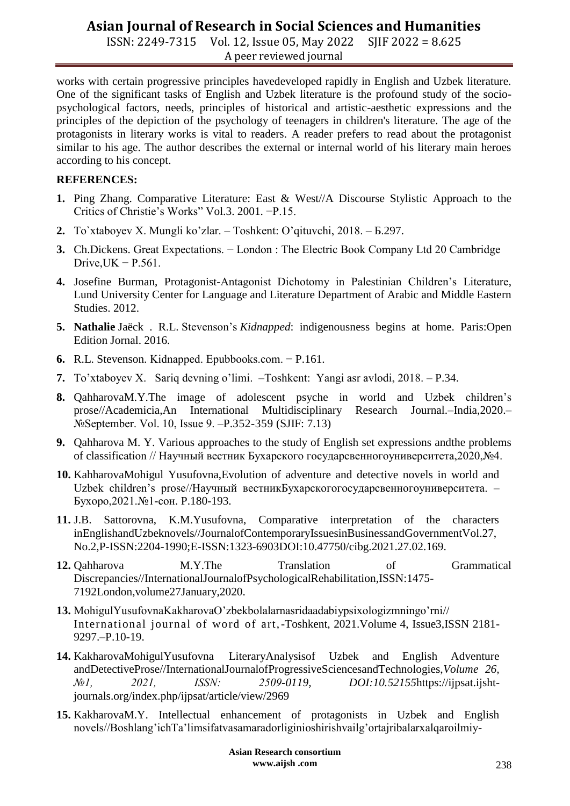ISSN: 2249-7315 Vol. 12, Issue 05, May 2022 SJIF 2022 = 8.625 A peer reviewed journal

works with certain progressive principles havedeveloped rapidly in English and Uzbek literature. One of the significant tasks of English and Uzbek literature is the profound study of the sociopsychological factors, needs, principles of historical and artistic-aesthetic expressions and the principles of the depiction of the psychology of teenagers in children's literature. The age of the protagonists in literary works is vital to readers. A reader prefers to read about the protagonist similar to his age. The author describes the external or internal world of his literary main heroes according to his concept.

#### **REFERENCES:**

- **1.** Ping Zhang. Comparative Literature: East & West//A Discourse Stylistic Approach to the Critics of Christie's Works‖ Vol.3. 2001. −P.15.
- **2.** To`xtaboyev X. Mungli ko'zlar. Toshkent: O'qituvchi, 2018. Б.297.
- **3.** Ch.Dickens. Great Expectations. − London : The Electric Book Company Ltd 20 Cambridge Drive, $UK - P.561$ .
- **4.** Josefine Burman, Protagonist-Antagonist Dichotomy in Palestinian Children's Literature, Lund University Center for Language and Literature Department of Arabic and Middle Eastern Studies. 2012.
- **5. Nathalie** Jaëck . R.L. Stevenson's *Kidnapped*: indigenousness begins at home. Paris:Open Edition Jornal. 2016.
- **6.** R.L. Stevenson. Kidnapped. Epubbooks.com. − P.161.
- **7.** Тo'xtaboyev Х. Sariq devning o'limi. –Toshkent: Yangi аsr аvlodi, 2018. P.34.
- **8.** QahharovaM.Y.The image of adolescent psyche in world and Uzbek children's prose//Academicia,An International Multidisciplinary Research Journal.–India,2020.– №September. Vol. 10, Issue 9. –P.352-359 (SJIF: 7.13)
- **9.** Qahharova M. Y. Various approaches to the study of English set expressions andthe problems of classification // Научный вестник Бухарского государсвенногоуниверситета,2020,№4.
- **10.** KahharovaMohigul Yusufovna,Evolution of adventure and detective novels in world and Uzbek children's prose//Научный вестникБухарскогогосударсвенногоуниверситета. – Бухоро,2021.№1-сон. P.180-193.
- **11.** J.B. Sattorovna, K.M.Yusufovna, Comparative interpretation of the characters inEnglishandUzbeknovels//JournalofContemporaryIssuesinBusinessandGovernmentVol.27, No.2,P-ISSN:2204-1990;E-ISSN:1323-6903DOI:10.47750/cibg.2021.27.02.169.
- **12.** Qahharova M.Y.The Translation of Grammatical Discrepancies//InternationalJournalofPsychologicalRehabilitation,ISSN:1475- 7192London,volume27January,2020.
- **13.** MohigulYusufovnaKakharovaO'zbekbolalarnasridaadabiypsixologizmningo'rni// International journal of word of art,-Toshkent, 2021.Volume 4, Issue3,ISSN 2181- 9297.–P.10-19.
- **14.** KakharovaMohigulYusufovna LiteraryAnalysisof Uzbek and English Adventure andDetectiveProse//InternationalJournalofProgressiveSciencesandTechnologies,*Volume 26, №1, 2021, ISSN: 2509-0119, DOI:10.52155*https://ijpsat.ijshtjournals.org/index.php/ijpsat/article/view/2969
- **15.** KakharovaM.Y. Intellectual enhancement of protagonists in Uzbek and English novels//Boshlang'ichTa'limsifatvasamaradorliginioshirishvailg'ortajribalarxalqaroilmiy-